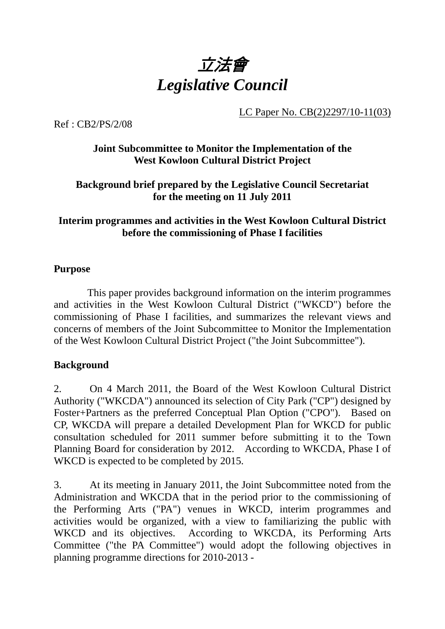

LC Paper No. CB(2)2297/10-11(03)

Ref : CB2/PS/2/08

# **Joint Subcommittee to Monitor the Implementation of the West Kowloon Cultural District Project**

### **Background brief prepared by the Legislative Council Secretariat for the meeting on 11 July 2011**

# **Interim programmes and activities in the West Kowloon Cultural District before the commissioning of Phase I facilities**

#### **Purpose**

This paper provides background information on the interim programmes and activities in the West Kowloon Cultural District ("WKCD") before the commissioning of Phase I facilities, and summarizes the relevant views and concerns of members of the Joint Subcommittee to Monitor the Implementation of the West Kowloon Cultural District Project ("the Joint Subcommittee").

# **Background**

2. On 4 March 2011, the Board of the West Kowloon Cultural District Authority ("WKCDA") announced its selection of City Park ("CP") designed by Foster+Partners as the preferred Conceptual Plan Option ("CPO"). Based on CP, WKCDA will prepare a detailed Development Plan for WKCD for public consultation scheduled for 2011 summer before submitting it to the Town Planning Board for consideration by 2012. According to WKCDA, Phase I of WKCD is expected to be completed by 2015.

3. At its meeting in January 2011, the Joint Subcommittee noted from the Administration and WKCDA that in the period prior to the commissioning of the Performing Arts ("PA") venues in WKCD, interim programmes and activities would be organized, with a view to familiarizing the public with WKCD and its objectives. According to WKCDA, its Performing Arts Committee ("the PA Committee") would adopt the following objectives in planning programme directions for 2010-2013 -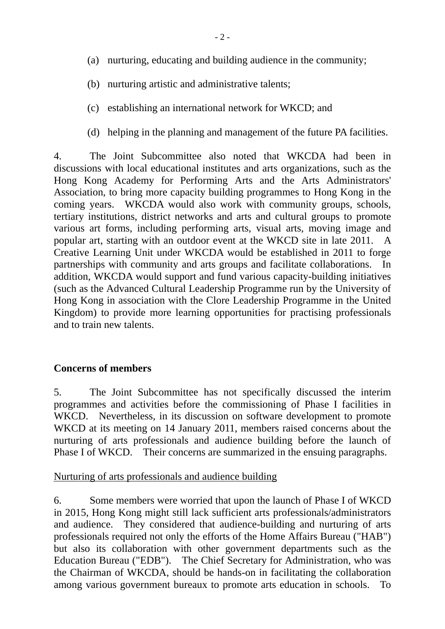- (a) nurturing, educating and building audience in the community;
- (b) nurturing artistic and administrative talents;
- (c) establishing an international network for WKCD; and
- (d) helping in the planning and management of the future PA facilities.

4. The Joint Subcommittee also noted that WKCDA had been in discussions with local educational institutes and arts organizations, such as the Hong Kong Academy for Performing Arts and the Arts Administrators' Association, to bring more capacity building programmes to Hong Kong in the coming years. WKCDA would also work with community groups, schools, tertiary institutions, district networks and arts and cultural groups to promote various art forms, including performing arts, visual arts, moving image and popular art, starting with an outdoor event at the WKCD site in late 2011. A Creative Learning Unit under WKCDA would be established in 2011 to forge partnerships with community and arts groups and facilitate collaborations. In addition, WKCDA would support and fund various capacity-building initiatives (such as the Advanced Cultural Leadership Programme run by the University of Hong Kong in association with the Clore Leadership Programme in the United Kingdom) to provide more learning opportunities for practising professionals and to train new talents.

#### **Concerns of members**

5. The Joint Subcommittee has not specifically discussed the interim programmes and activities before the commissioning of Phase I facilities in WKCD. Nevertheless, in its discussion on software development to promote WKCD at its meeting on 14 January 2011, members raised concerns about the nurturing of arts professionals and audience building before the launch of Phase I of WKCD. Their concerns are summarized in the ensuing paragraphs.

#### Nurturing of arts professionals and audience building

6. Some members were worried that upon the launch of Phase I of WKCD in 2015, Hong Kong might still lack sufficient arts professionals/administrators and audience. They considered that audience-building and nurturing of arts professionals required not only the efforts of the Home Affairs Bureau ("HAB") but also its collaboration with other government departments such as the Education Bureau ("EDB"). The Chief Secretary for Administration, who was the Chairman of WKCDA, should be hands-on in facilitating the collaboration among various government bureaux to promote arts education in schools. To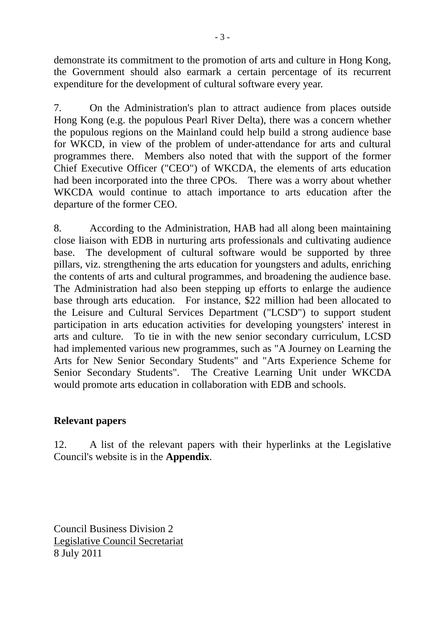demonstrate its commitment to the promotion of arts and culture in Hong Kong, the Government should also earmark a certain percentage of its recurrent expenditure for the development of cultural software every year.

7. On the Administration's plan to attract audience from places outside Hong Kong (e.g. the populous Pearl River Delta), there was a concern whether the populous regions on the Mainland could help build a strong audience base for WKCD, in view of the problem of under-attendance for arts and cultural programmes there. Members also noted that with the support of the former Chief Executive Officer ("CEO") of WKCDA, the elements of arts education had been incorporated into the three CPOs. There was a worry about whether WKCDA would continue to attach importance to arts education after the departure of the former CEO.

8. According to the Administration, HAB had all along been maintaining close liaison with EDB in nurturing arts professionals and cultivating audience base. The development of cultural software would be supported by three pillars, viz. strengthening the arts education for youngsters and adults, enriching the contents of arts and cultural programmes, and broadening the audience base. The Administration had also been stepping up efforts to enlarge the audience base through arts education. For instance, \$22 million had been allocated to the Leisure and Cultural Services Department ("LCSD") to support student participation in arts education activities for developing youngsters' interest in arts and culture. To tie in with the new senior secondary curriculum, LCSD had implemented various new programmes, such as "A Journey on Learning the Arts for New Senior Secondary Students" and "Arts Experience Scheme for Senior Secondary Students". The Creative Learning Unit under WKCDA would promote arts education in collaboration with EDB and schools.

# **Relevant papers**

12. A list of the relevant papers with their hyperlinks at the Legislative Council's website is in the **Appendix**.

Council Business Division 2 Legislative Council Secretariat 8 July 2011